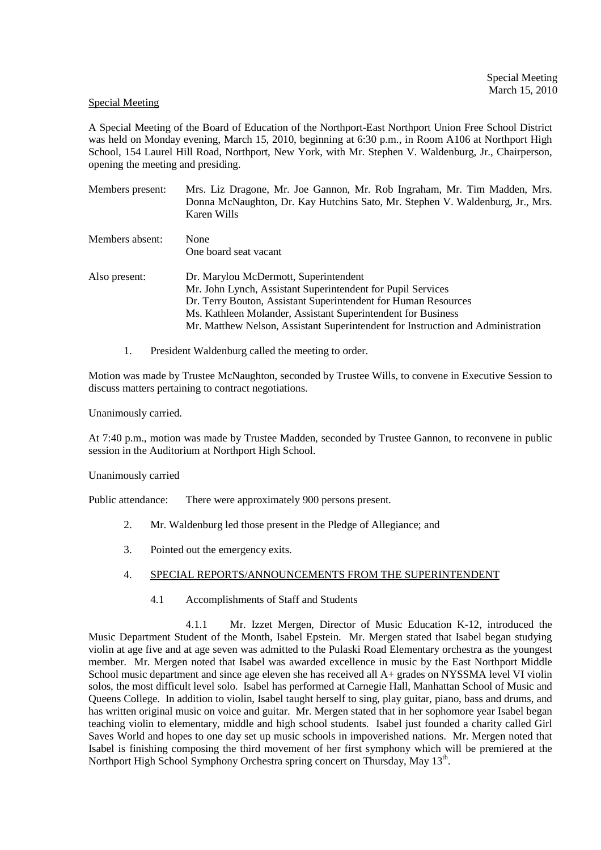### Special Meeting

A Special Meeting of the Board of Education of the Northport-East Northport Union Free School District was held on Monday evening, March 15, 2010, beginning at 6:30 p.m., in Room A106 at Northport High School, 154 Laurel Hill Road, Northport, New York, with Mr. Stephen V. Waldenburg, Jr., Chairperson, opening the meeting and presiding.

| Members present: | Mrs. Liz Dragone, Mr. Joe Gannon, Mr. Rob Ingraham, Mr. Tim Madden, Mrs.<br>Donna McNaughton, Dr. Kay Hutchins Sato, Mr. Stephen V. Waldenburg, Jr., Mrs.<br>Karen Wills |
|------------------|--------------------------------------------------------------------------------------------------------------------------------------------------------------------------|
| Members absent:  | None<br>One board seat vacant                                                                                                                                            |
|                  |                                                                                                                                                                          |
| Also present:    | Dr. Marylou McDermott, Superintendent                                                                                                                                    |
|                  | Mr. John Lynch, Assistant Superintendent for Pupil Services                                                                                                              |
|                  | Dr. Terry Bouton, Assistant Superintendent for Human Resources                                                                                                           |
|                  | Ms. Kathleen Molander, Assistant Superintendent for Business                                                                                                             |
|                  | Mr. Matthew Nelson, Assistant Superintendent for Instruction and Administration                                                                                          |
|                  |                                                                                                                                                                          |

1. President Waldenburg called the meeting to order.

Motion was made by Trustee McNaughton, seconded by Trustee Wills, to convene in Executive Session to discuss matters pertaining to contract negotiations.

Unanimously carried.

At 7:40 p.m., motion was made by Trustee Madden, seconded by Trustee Gannon, to reconvene in public session in the Auditorium at Northport High School.

Unanimously carried

Public attendance: There were approximately 900 persons present.

- 2. Mr. Waldenburg led those present in the Pledge of Allegiance; and
- 3. Pointed out the emergency exits.

## 4. SPECIAL REPORTS/ANNOUNCEMENTS FROM THE SUPERINTENDENT

4.1 Accomplishments of Staff and Students

 4.1.1 Mr. Izzet Mergen, Director of Music Education K-12, introduced the Music Department Student of the Month, Isabel Epstein. Mr. Mergen stated that Isabel began studying violin at age five and at age seven was admitted to the Pulaski Road Elementary orchestra as the youngest member. Mr. Mergen noted that Isabel was awarded excellence in music by the East Northport Middle School music department and since age eleven she has received all A+ grades on NYSSMA level VI violin solos, the most difficult level solo. Isabel has performed at Carnegie Hall, Manhattan School of Music and Queens College. In addition to violin, Isabel taught herself to sing, play guitar, piano, bass and drums, and has written original music on voice and guitar. Mr. Mergen stated that in her sophomore year Isabel began teaching violin to elementary, middle and high school students. Isabel just founded a charity called Girl Saves World and hopes to one day set up music schools in impoverished nations. Mr. Mergen noted that Isabel is finishing composing the third movement of her first symphony which will be premiered at the Northport High School Symphony Orchestra spring concert on Thursday, May 13<sup>th</sup>.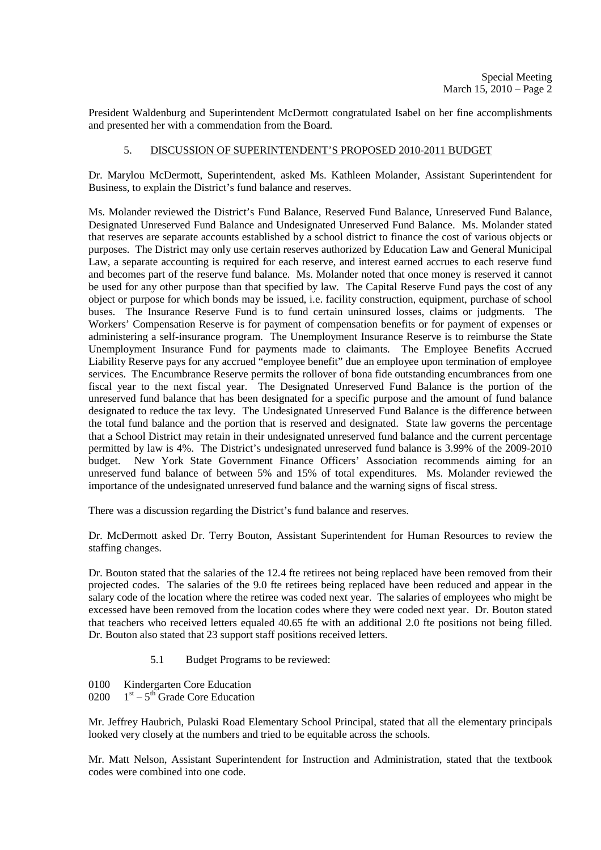President Waldenburg and Superintendent McDermott congratulated Isabel on her fine accomplishments and presented her with a commendation from the Board.

## 5. DISCUSSION OF SUPERINTENDENT'S PROPOSED 2010-2011 BUDGET

Dr. Marylou McDermott, Superintendent, asked Ms. Kathleen Molander, Assistant Superintendent for Business, to explain the District's fund balance and reserves.

Ms. Molander reviewed the District's Fund Balance, Reserved Fund Balance, Unreserved Fund Balance, Designated Unreserved Fund Balance and Undesignated Unreserved Fund Balance. Ms. Molander stated that reserves are separate accounts established by a school district to finance the cost of various objects or purposes. The District may only use certain reserves authorized by Education Law and General Municipal Law, a separate accounting is required for each reserve, and interest earned accrues to each reserve fund and becomes part of the reserve fund balance. Ms. Molander noted that once money is reserved it cannot be used for any other purpose than that specified by law. The Capital Reserve Fund pays the cost of any object or purpose for which bonds may be issued, i.e. facility construction, equipment, purchase of school buses. The Insurance Reserve Fund is to fund certain uninsured losses, claims or judgments. The Workers' Compensation Reserve is for payment of compensation benefits or for payment of expenses or administering a self-insurance program. The Unemployment Insurance Reserve is to reimburse the State Unemployment Insurance Fund for payments made to claimants. The Employee Benefits Accrued Liability Reserve pays for any accrued "employee benefit" due an employee upon termination of employee services. The Encumbrance Reserve permits the rollover of bona fide outstanding encumbrances from one fiscal year to the next fiscal year. The Designated Unreserved Fund Balance is the portion of the unreserved fund balance that has been designated for a specific purpose and the amount of fund balance designated to reduce the tax levy. The Undesignated Unreserved Fund Balance is the difference between the total fund balance and the portion that is reserved and designated. State law governs the percentage that a School District may retain in their undesignated unreserved fund balance and the current percentage permitted by law is 4%. The District's undesignated unreserved fund balance is 3.99% of the 2009-2010 budget. New York State Government Finance Officers' Association recommends aiming for an unreserved fund balance of between 5% and 15% of total expenditures. Ms. Molander reviewed the importance of the undesignated unreserved fund balance and the warning signs of fiscal stress.

There was a discussion regarding the District's fund balance and reserves.

Dr. McDermott asked Dr. Terry Bouton, Assistant Superintendent for Human Resources to review the staffing changes.

Dr. Bouton stated that the salaries of the 12.4 fte retirees not being replaced have been removed from their projected codes. The salaries of the 9.0 fte retirees being replaced have been reduced and appear in the salary code of the location where the retiree was coded next year. The salaries of employees who might be excessed have been removed from the location codes where they were coded next year. Dr. Bouton stated that teachers who received letters equaled 40.65 fte with an additional 2.0 fte positions not being filled. Dr. Bouton also stated that 23 support staff positions received letters.

- 5.1 Budget Programs to be reviewed:
- 0100 Kindergarten Core Education
- 0200  $1<sup>st</sup> 5<sup>th</sup>$  Grade Core Education

Mr. Jeffrey Haubrich, Pulaski Road Elementary School Principal, stated that all the elementary principals looked very closely at the numbers and tried to be equitable across the schools.

Mr. Matt Nelson, Assistant Superintendent for Instruction and Administration, stated that the textbook codes were combined into one code.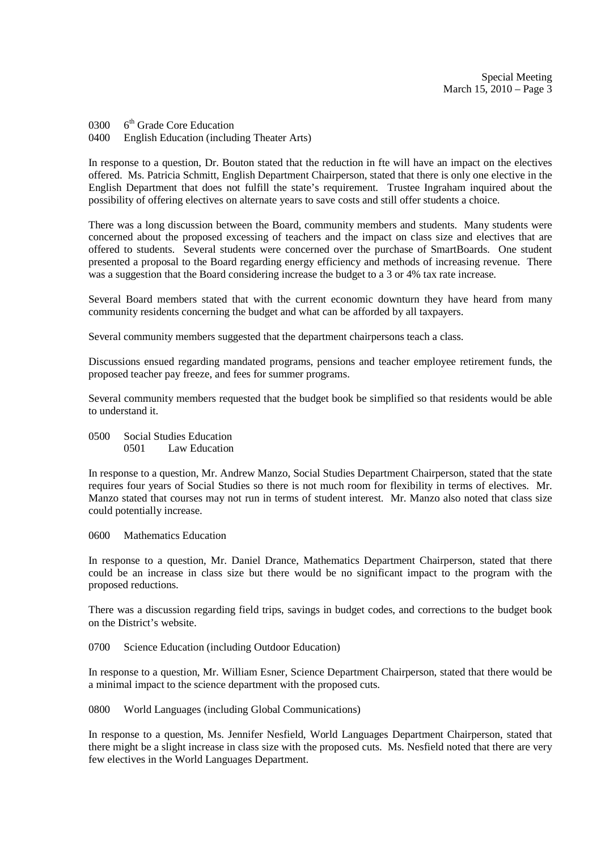0300  $6<sup>th</sup>$  Grade Core Education 0400 English Education (including Theater Arts)

In response to a question, Dr. Bouton stated that the reduction in fte will have an impact on the electives offered. Ms. Patricia Schmitt, English Department Chairperson, stated that there is only one elective in the English Department that does not fulfill the state's requirement. Trustee Ingraham inquired about the possibility of offering electives on alternate years to save costs and still offer students a choice.

There was a long discussion between the Board, community members and students. Many students were concerned about the proposed excessing of teachers and the impact on class size and electives that are offered to students. Several students were concerned over the purchase of SmartBoards. One student presented a proposal to the Board regarding energy efficiency and methods of increasing revenue. There was a suggestion that the Board considering increase the budget to a 3 or 4% tax rate increase.

Several Board members stated that with the current economic downturn they have heard from many community residents concerning the budget and what can be afforded by all taxpayers.

Several community members suggested that the department chairpersons teach a class.

Discussions ensued regarding mandated programs, pensions and teacher employee retirement funds, the proposed teacher pay freeze, and fees for summer programs.

Several community members requested that the budget book be simplified so that residents would be able to understand it.

0500 Social Studies Education<br>0501 Law Education Law Education

In response to a question, Mr. Andrew Manzo, Social Studies Department Chairperson, stated that the state requires four years of Social Studies so there is not much room for flexibility in terms of electives. Mr. Manzo stated that courses may not run in terms of student interest. Mr. Manzo also noted that class size could potentially increase.

0600 Mathematics Education

In response to a question, Mr. Daniel Drance, Mathematics Department Chairperson, stated that there could be an increase in class size but there would be no significant impact to the program with the proposed reductions.

There was a discussion regarding field trips, savings in budget codes, and corrections to the budget book on the District's website.

0700 Science Education (including Outdoor Education)

In response to a question, Mr. William Esner, Science Department Chairperson, stated that there would be a minimal impact to the science department with the proposed cuts.

0800 World Languages (including Global Communications)

In response to a question, Ms. Jennifer Nesfield, World Languages Department Chairperson, stated that there might be a slight increase in class size with the proposed cuts. Ms. Nesfield noted that there are very few electives in the World Languages Department.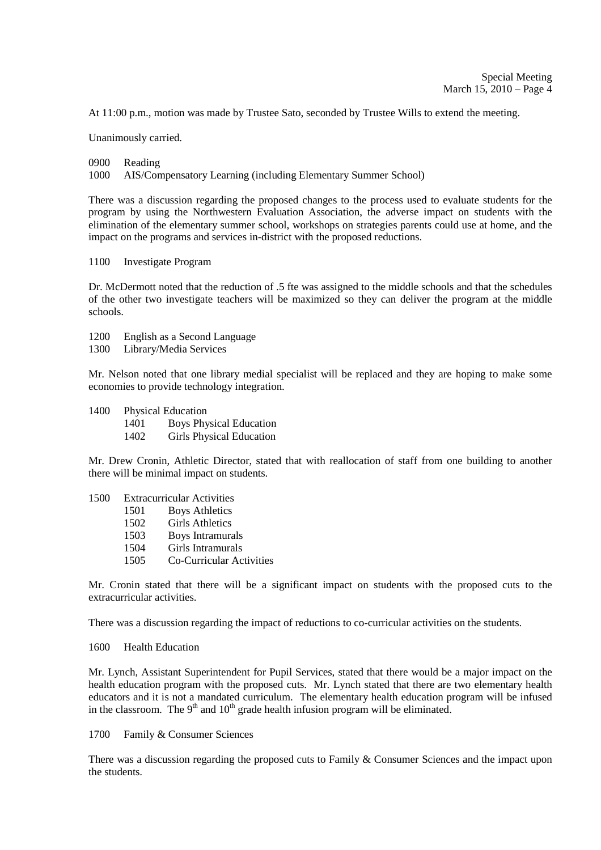At 11:00 p.m., motion was made by Trustee Sato, seconded by Trustee Wills to extend the meeting.

Unanimously carried.

0900 Reading

1000 AIS/Compensatory Learning (including Elementary Summer School)

There was a discussion regarding the proposed changes to the process used to evaluate students for the program by using the Northwestern Evaluation Association, the adverse impact on students with the elimination of the elementary summer school, workshops on strategies parents could use at home, and the impact on the programs and services in-district with the proposed reductions.

1100 Investigate Program

Dr. McDermott noted that the reduction of .5 fte was assigned to the middle schools and that the schedules of the other two investigate teachers will be maximized so they can deliver the program at the middle schools.

- 1200 English as a Second Language
- 1300 Library/Media Services

Mr. Nelson noted that one library medial specialist will be replaced and they are hoping to make some economies to provide technology integration.

- 1400 Physical Education
	- 1401 Boys Physical Education
	- 1402 Girls Physical Education

Mr. Drew Cronin, Athletic Director, stated that with reallocation of staff from one building to another there will be minimal impact on students.

- 1500 Extracurricular Activities<br>1501 Bovs Athletics **Boys Athletics**  1502 Girls Athletics 1503 Boys Intramurals 1504 Girls Intramurals
	- 1505 Co-Curricular Activities

Mr. Cronin stated that there will be a significant impact on students with the proposed cuts to the extracurricular activities.

There was a discussion regarding the impact of reductions to co-curricular activities on the students.

## 1600 Health Education

Mr. Lynch, Assistant Superintendent for Pupil Services, stated that there would be a major impact on the health education program with the proposed cuts. Mr. Lynch stated that there are two elementary health educators and it is not a mandated curriculum. The elementary health education program will be infused in the classroom. The  $9<sup>th</sup>$  and  $10<sup>th</sup>$  grade health infusion program will be eliminated.

1700 Family & Consumer Sciences

There was a discussion regarding the proposed cuts to Family & Consumer Sciences and the impact upon the students.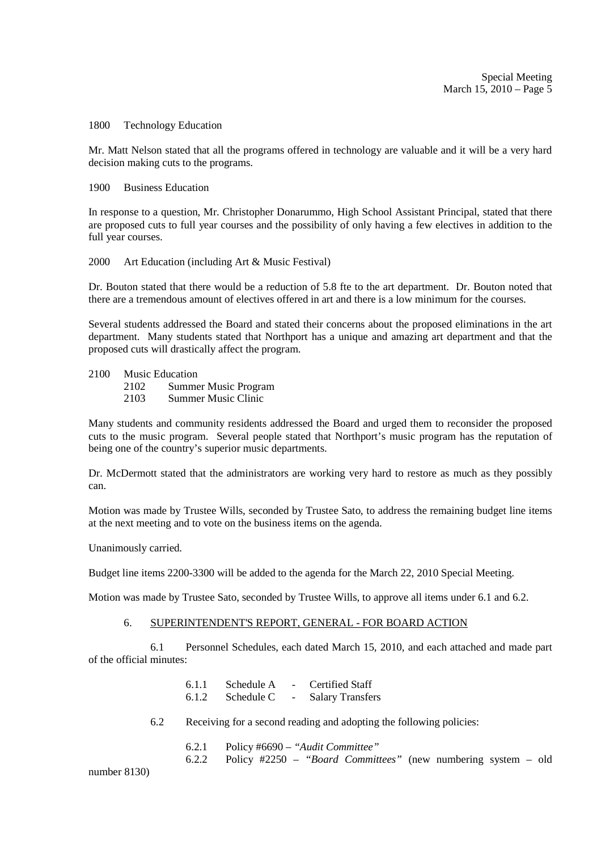Special Meeting March 15, 2010 – Page 5

#### 1800 Technology Education

Mr. Matt Nelson stated that all the programs offered in technology are valuable and it will be a very hard decision making cuts to the programs.

#### 1900 Business Education

In response to a question, Mr. Christopher Donarummo, High School Assistant Principal, stated that there are proposed cuts to full year courses and the possibility of only having a few electives in addition to the full year courses.

#### 2000 Art Education (including Art & Music Festival)

Dr. Bouton stated that there would be a reduction of 5.8 fte to the art department. Dr. Bouton noted that there are a tremendous amount of electives offered in art and there is a low minimum for the courses.

Several students addressed the Board and stated their concerns about the proposed eliminations in the art department. Many students stated that Northport has a unique and amazing art department and that the proposed cuts will drastically affect the program.

#### 2100 Music Education

2102 Summer Music Program

2103 Summer Music Clinic

Many students and community residents addressed the Board and urged them to reconsider the proposed cuts to the music program. Several people stated that Northport's music program has the reputation of being one of the country's superior music departments.

Dr. McDermott stated that the administrators are working very hard to restore as much as they possibly can.

Motion was made by Trustee Wills, seconded by Trustee Sato, to address the remaining budget line items at the next meeting and to vote on the business items on the agenda.

Unanimously carried.

Budget line items 2200-3300 will be added to the agenda for the March 22, 2010 Special Meeting.

Motion was made by Trustee Sato, seconded by Trustee Wills, to approve all items under 6.1 and 6.2.

## 6. SUPERINTENDENT'S REPORT, GENERAL - FOR BOARD ACTION

 6.1 Personnel Schedules, each dated March 15, 2010, and each attached and made part of the official minutes:

> 6.1.1 Schedule A - Certified Staff 6.1.2 Schedule C - Salary Transfers

6.2 Receiving for a second reading and adopting the following policies:

6.2.1 Policy #6690 – *"Audit Committee"*

6.2.2 Policy #2250 – *"Board Committees"* (new numbering system – old

number 8130)